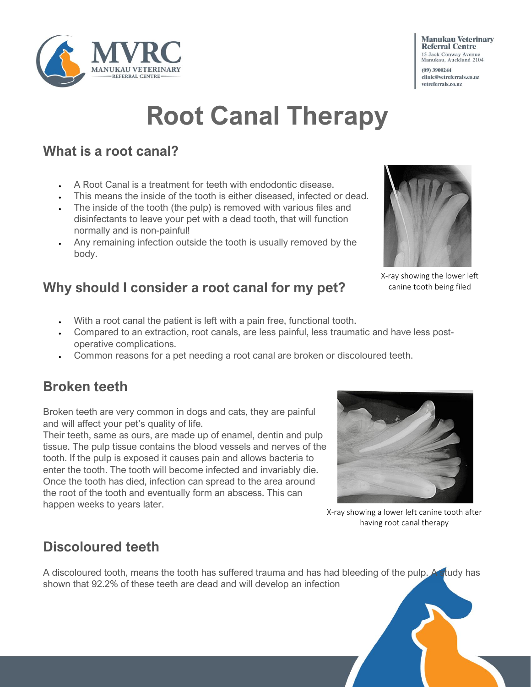

# **Root Canal Therapy**

### **What is a root canal?**

- A Root Canal is a treatment for teeth with endodontic disease.
- This means the inside of the tooth is either diseased, infected or dead.
- The inside of the tooth (the pulp) is removed with various files and disinfectants to leave your pet with a dead tooth, that will function normally and is non-painful!
- Any remaining infection outside the tooth is usually removed by the body.

### **Why should I consider a root canal for my pet?**

- With a root canal the patient is left with a pain free, functional tooth.
- Compared to an extraction, root canals, are less painful, less traumatic and have less postoperative complications.
- Common reasons for a pet needing a root canal are broken or discoloured teeth.

### **Broken teeth**

Broken teeth are very common in dogs and cats, they are painful and will affect your pet's quality of life.

Their teeth, same as ours, are made up of enamel, dentin and pulp tissue. The pulp tissue contains the blood vessels and nerves of the tooth. If the pulp is exposed it causes pain and allows bacteria to enter the tooth. The tooth will become infected and invariably die. Once the tooth has died, infection can spread to the area around the root of the tooth and eventually form an abscess. This can happen weeks to years later.



X-ray showing a lower left canine tooth after having root canal therapy

### **Discoloured teeth**

A discoloured tooth, means the tooth has suffered trauma and has had bleeding of the pulp. A study has shown that 92.2% of these teeth are dead and will develop an infection



X-ray showing the lower left canine tooth being filed

#### **Manukau Veterinary Referral Centre** 15 Jack Conway Avenue<br>Manukau, Auckland 2104

(09) 3900244 clinic@vetreferrals.co.nz vetreferrals.co.nz